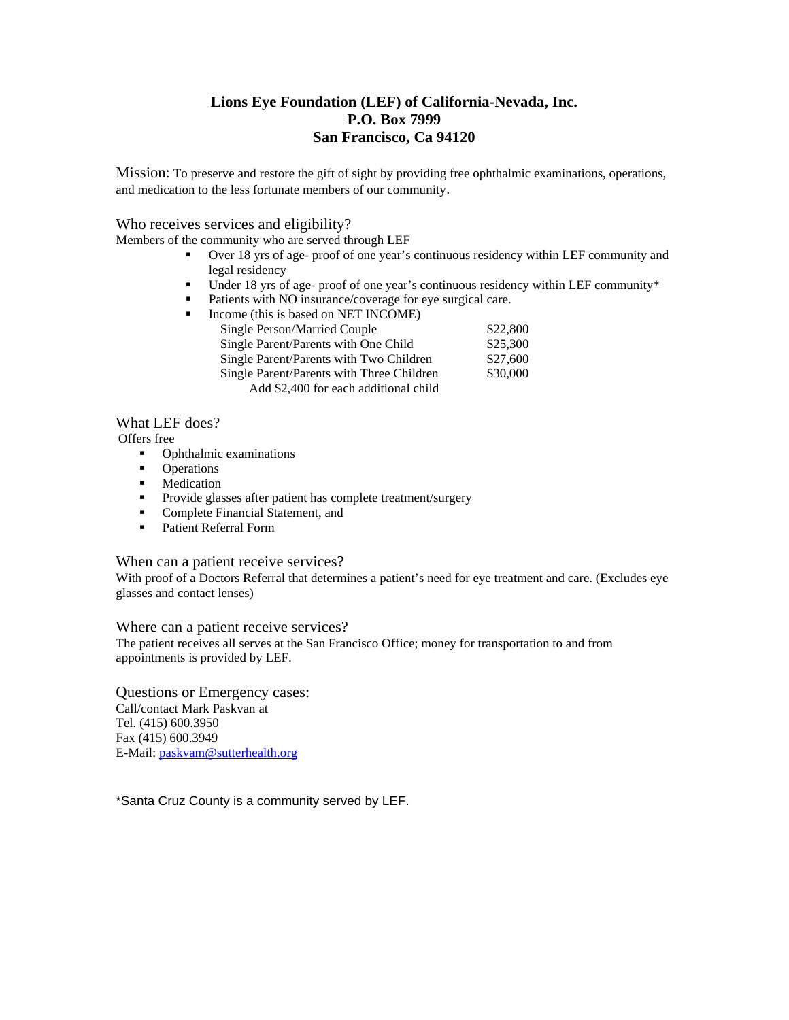#### **Lions Eye Foundation (LEF) of California-Nevada, Inc. P.O. Box 7999 San Francisco, Ca 94120**

Mission: To preserve and restore the gift of sight by providing free ophthalmic examinations, operations, and medication to the less fortunate members of our community.

#### Who receives services and eligibility?

Members of the community who are served through LEF

- Over 18 yrs of age- proof of one year's continuous residency within LEF community and legal residency
- Under 18 yrs of age- proof of one year's continuous residency within LEF community\*
- Patients with NO insurance/coverage for eye surgical care.

| ٠ | Income (this is based on NET INCOME)      |          |
|---|-------------------------------------------|----------|
|   | Single Person/Married Couple              | \$22,800 |
|   | Single Parent/Parents with One Child      | \$25,300 |
|   | Single Parent/Parents with Two Children   | \$27,600 |
|   | Single Parent/Parents with Three Children | \$30,000 |
|   | Add \$2,400 for each additional child     |          |

## What LEF does?

Offers free

- Ophthalmic examinations
- Operations
- **Medication**
- **Provide glasses after patient has complete treatment/surgery**
- Complete Financial Statement, and
- **•** Patient Referral Form

#### When can a patient receive services?

With proof of a Doctors Referral that determines a patient's need for eye treatment and care. (Excludes eye glasses and contact lenses)

#### Where can a patient receive services?

The patient receives all serves at the San Francisco Office; money for transportation to and from appointments is provided by LEF.

Questions or Emergency cases: Call/contact Mark Paskvan at Tel. (415) 600.3950 Fax (415) 600.3949 E-Mail: [paskvam@sutterhealth.org](mailto:paskvam@sutterhealth.org) 

\*Santa Cruz County is a community served by LEF.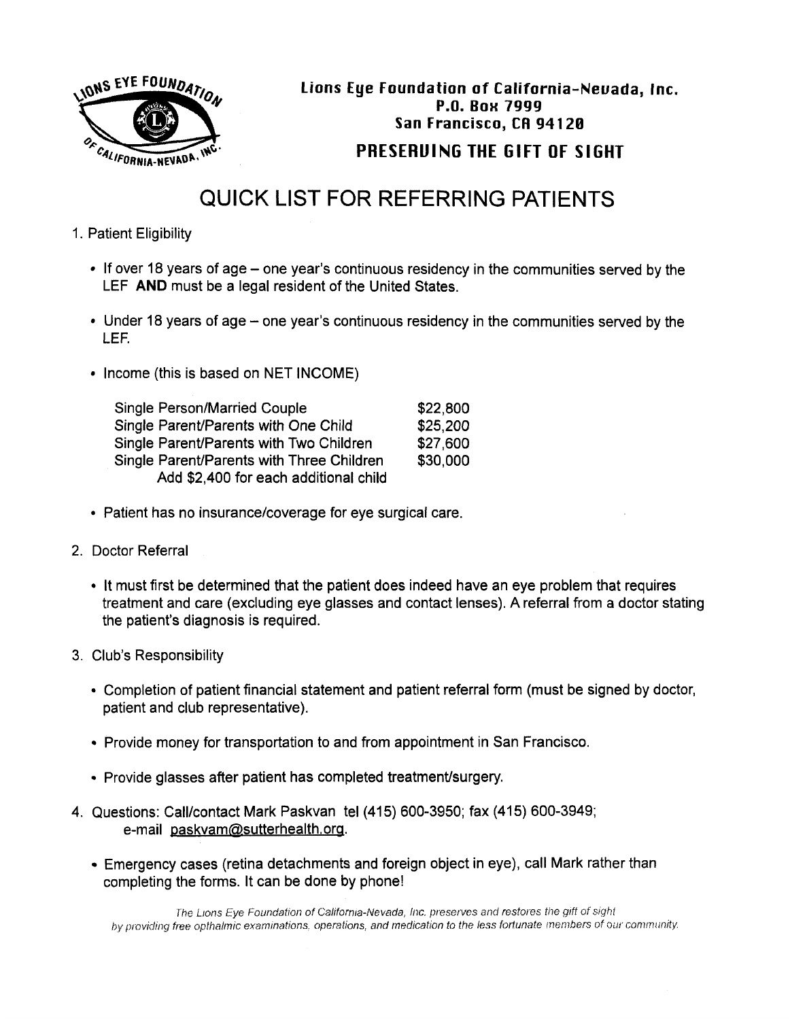

### Lions Eye Foundation of California-Neuada, Inc. **P.O. Box 7999 San Francisco, Cfl 941 28 PRESERUING THE GIFT OF SIGHT**

## QUICK LIST FOR REFERRING PATIENTS

- I. Patient Eligibility
	- If over 18 years of age one year's continuous residency in the communities served by the LEF **AND** must be a legal resident of the United States.
	- Under 18 years of age one year's continuous residency in the communities served by the LEF.
	- Income (this is based on NET INCOME)

| <b>Single Person/Married Couple</b>       | \$22,800 |
|-------------------------------------------|----------|
| Single Parent/Parents with One Child      | \$25,200 |
| Single Parent/Parents with Two Children   | \$27,600 |
| Single Parent/Parents with Three Children | \$30,000 |
| Add \$2,400 for each additional child     |          |

- Patient has no insurance/coverage for eye surgical care.
- 2. Doctor Referral
	- It must first be determined that the patient does indeed have an eye problem that requires treatment and care (excluding eye glasses and contact lenses). A referral from a doctor stating the patient's diagnosis is required.
- 3. Club's Responsibility
	- Completion of patient financial statement and patient referral form (must be signed by doctor, patient and club representative).
	- Provide money for transportation to and from appointment in San Francisco.
	- Provide glasses after patient has completed treatment/surgery.
- 4. Questions: Call/contact Mark Paskvan tel (415) 600-3950; fax (415) 600-3949; e-mail paskvam@sutterhealth.orq.
	- Emergency cases (retina detachments and foreign object in eye), call Mark rather than completing the forms. It can be done by phone!

*Ihe Lions Eye Foundation of California-Nevada, Inc. preserves and restores the gift of sight hy providing free opthalmic examinations, operations, and medication to the less fortunate inembers of our community.*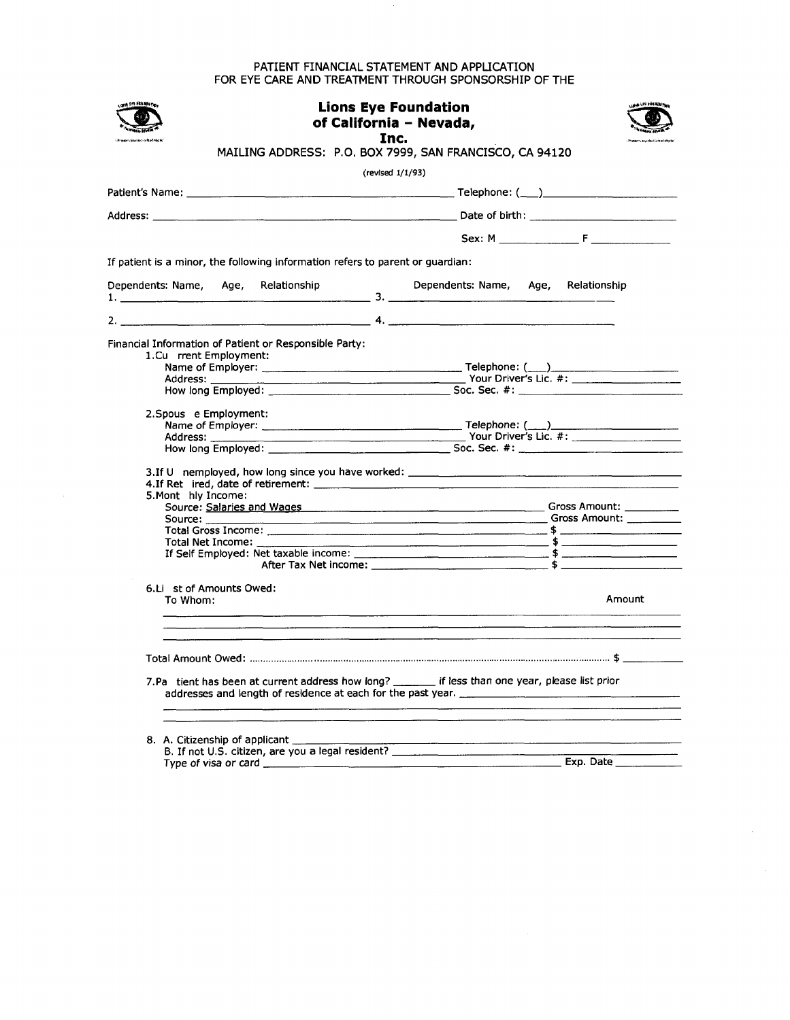PATIENT FINANCIAL STATEMENT AND APPLICATION FOR EYE CARE AND TREATMENT THROUGH SPONSORSHIP OF THE

 $\bar{z}$ 

| <b>UNA SPI FERMONTEN</b>                                                                                                                                        | <b>Lions Eye Foundation</b><br>a CAR HOS ROMERING<br>of California - Nevada,<br>Inc.                                                                                                                                          |
|-----------------------------------------------------------------------------------------------------------------------------------------------------------------|-------------------------------------------------------------------------------------------------------------------------------------------------------------------------------------------------------------------------------|
|                                                                                                                                                                 | MAILING ADDRESS: P.O. BOX 7999, SAN FRANCISCO, CA 94120                                                                                                                                                                       |
|                                                                                                                                                                 | (revised 1/1/93)                                                                                                                                                                                                              |
|                                                                                                                                                                 |                                                                                                                                                                                                                               |
|                                                                                                                                                                 |                                                                                                                                                                                                                               |
|                                                                                                                                                                 |                                                                                                                                                                                                                               |
| If patient is a minor, the following information refers to parent or guardian:                                                                                  |                                                                                                                                                                                                                               |
| Dependents: Name, Age, Relationship                                                                                                                             | Dependents: Name, Age, Relationship                                                                                                                                                                                           |
|                                                                                                                                                                 |                                                                                                                                                                                                                               |
| Financial Information of Patient or Responsible Party:<br>1.Cu rrent Employment:                                                                                |                                                                                                                                                                                                                               |
|                                                                                                                                                                 |                                                                                                                                                                                                                               |
| 2. Spous e Employment:                                                                                                                                          |                                                                                                                                                                                                                               |
| 5. Mont hly Income:<br>Total Net Income: ________                                                                                                               | the control of the control of the control of<br>Source: Salaries and Wages Manual Communication of Contract Communication of Cross Amount: 2000.                                                                              |
| 6.Li st of Amounts Owed:<br>To Whom:                                                                                                                            | Amount<br><u> 1980 - Jan Barbara (j. 1980)</u><br><u> 1980 - Jan Lander, amerikansk politiker (* 1908)</u>                                                                                                                    |
| 7.Pa tient has been at current address how long? _____ if less than one year, please list prior<br>addresses and length of residence at each for the past year. |                                                                                                                                                                                                                               |
| 8. A. Citizenship of applicant __________                                                                                                                       | the company of the company of the company of the company of the company of the company of the company of the company of the company of the company of the company of the company of the company of the company of the company |
| B. If not U.S. citizen, are you a legal resident? ______________________________                                                                                |                                                                                                                                                                                                                               |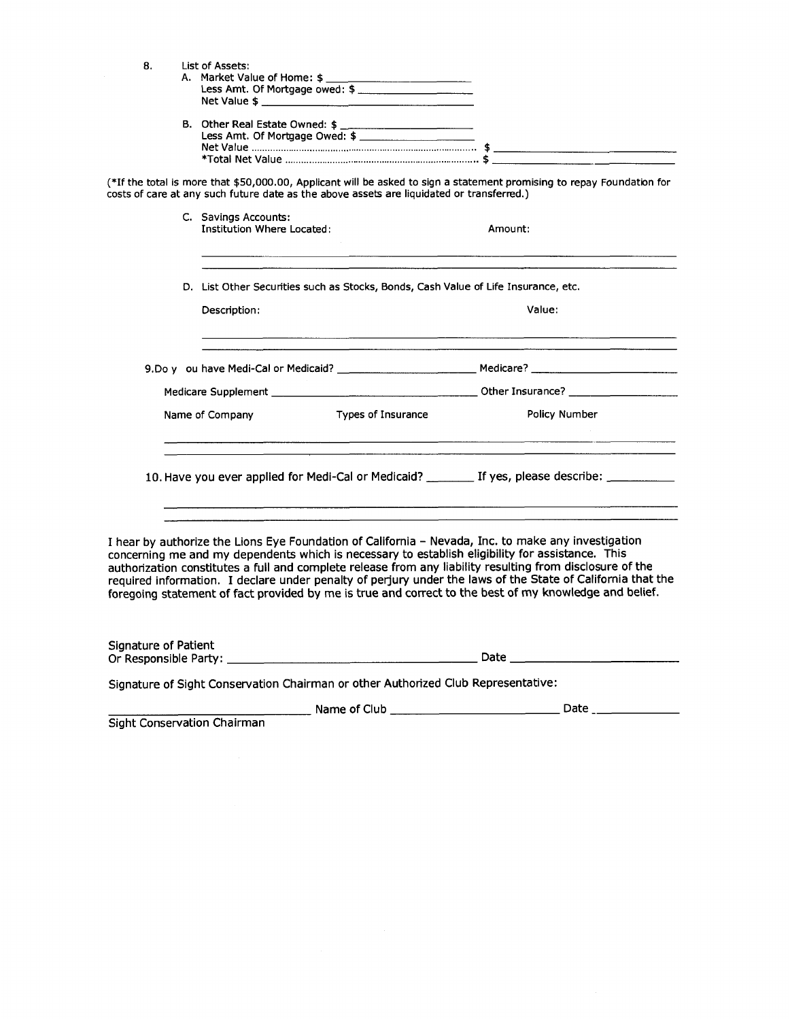| 8.                                 | List of Assets:            |                                                                                           |                                                                                                                                                                                                                                                                                                                                                                                                                                        |
|------------------------------------|----------------------------|-------------------------------------------------------------------------------------------|----------------------------------------------------------------------------------------------------------------------------------------------------------------------------------------------------------------------------------------------------------------------------------------------------------------------------------------------------------------------------------------------------------------------------------------|
|                                    |                            |                                                                                           |                                                                                                                                                                                                                                                                                                                                                                                                                                        |
|                                    |                            | Less Amt. Of Mortgage owed: \$                                                            |                                                                                                                                                                                                                                                                                                                                                                                                                                        |
|                                    |                            |                                                                                           |                                                                                                                                                                                                                                                                                                                                                                                                                                        |
|                                    |                            | B. Other Real Estate Owned: \$                                                            |                                                                                                                                                                                                                                                                                                                                                                                                                                        |
|                                    |                            |                                                                                           |                                                                                                                                                                                                                                                                                                                                                                                                                                        |
|                                    |                            |                                                                                           |                                                                                                                                                                                                                                                                                                                                                                                                                                        |
|                                    |                            |                                                                                           |                                                                                                                                                                                                                                                                                                                                                                                                                                        |
|                                    |                            | costs of care at any such future date as the above assets are liquidated or transferred.) | (*If the total is more that \$50,000.00, Applicant will be asked to sign a statement promising to repay Foundation for                                                                                                                                                                                                                                                                                                                 |
|                                    | C. Savings Accounts:       |                                                                                           |                                                                                                                                                                                                                                                                                                                                                                                                                                        |
|                                    | Institution Where Located: |                                                                                           | Amount:                                                                                                                                                                                                                                                                                                                                                                                                                                |
|                                    |                            |                                                                                           |                                                                                                                                                                                                                                                                                                                                                                                                                                        |
|                                    |                            | D. List Other Securities such as Stocks, Bonds, Cash Value of Life Insurance, etc.        |                                                                                                                                                                                                                                                                                                                                                                                                                                        |
|                                    | Description:               |                                                                                           | Value:                                                                                                                                                                                                                                                                                                                                                                                                                                 |
|                                    |                            |                                                                                           |                                                                                                                                                                                                                                                                                                                                                                                                                                        |
|                                    |                            |                                                                                           |                                                                                                                                                                                                                                                                                                                                                                                                                                        |
|                                    |                            |                                                                                           |                                                                                                                                                                                                                                                                                                                                                                                                                                        |
|                                    |                            |                                                                                           |                                                                                                                                                                                                                                                                                                                                                                                                                                        |
|                                    |                            |                                                                                           |                                                                                                                                                                                                                                                                                                                                                                                                                                        |
|                                    | Name of Company            | Types of Insurance                                                                        | Policy Number                                                                                                                                                                                                                                                                                                                                                                                                                          |
|                                    |                            |                                                                                           | 10. Have you ever applied for Medi-Cal or Medicaid? _________ If yes, please describe: ___________                                                                                                                                                                                                                                                                                                                                     |
|                                    |                            |                                                                                           | I hear by authorize the Lions Eye Foundation of California - Nevada, Inc. to make any investigation                                                                                                                                                                                                                                                                                                                                    |
|                                    |                            |                                                                                           | concerning me and my dependents which is necessary to establish eligibility for assistance. This<br>authorization constitutes a full and complete release from any liability resulting from disclosure of the<br>required information. I declare under penalty of perjury under the laws of the State of California that the<br>foregoing statement of fact provided by me is true and correct to the best of my knowledge and belief. |
|                                    |                            |                                                                                           |                                                                                                                                                                                                                                                                                                                                                                                                                                        |
| Signature of Patient               |                            |                                                                                           |                                                                                                                                                                                                                                                                                                                                                                                                                                        |
|                                    |                            | Signature of Sight Conservation Chairman or other Authorized Club Representative:         |                                                                                                                                                                                                                                                                                                                                                                                                                                        |
|                                    |                            |                                                                                           |                                                                                                                                                                                                                                                                                                                                                                                                                                        |
| <b>Sight Conservation Chairman</b> |                            |                                                                                           |                                                                                                                                                                                                                                                                                                                                                                                                                                        |
|                                    |                            |                                                                                           |                                                                                                                                                                                                                                                                                                                                                                                                                                        |